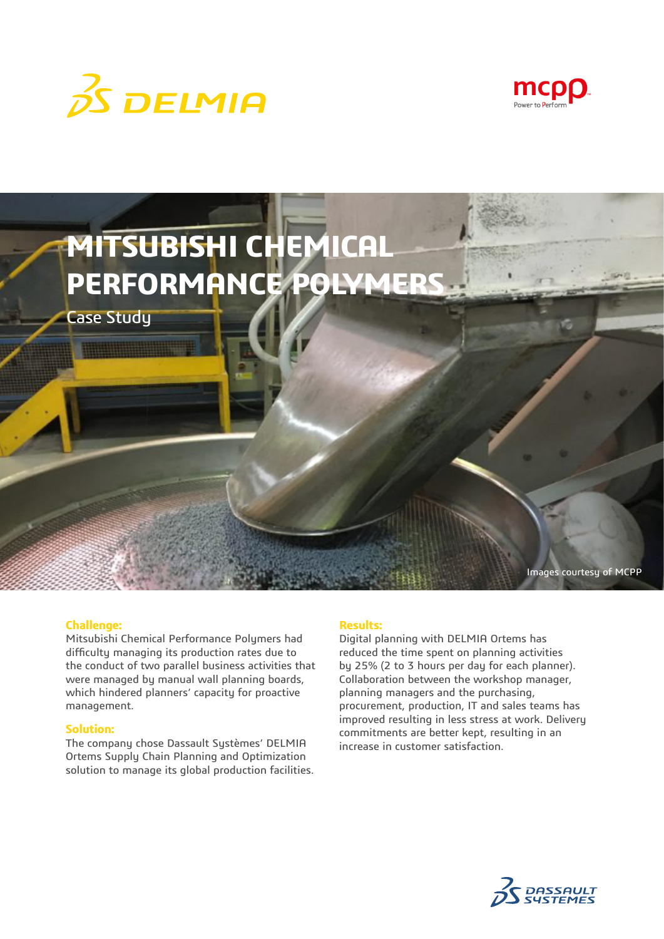





#### **Challenge:**

Mitsubishi Chemical Performance Polymers had difficulty managing its production rates due to the conduct of two parallel business activities that were managed by manual wall planning boards, which hindered planners' capacity for proactive management.

## **Solution:**

The company chose Dassault Systèmes' DELMIA Ortems Supply Chain Planning and Optimization solution to manage its global production facilities.

## **Results:**

Digital planning with DELMIA Ortems has reduced the time spent on planning activities by 25% (2 to 3 hours per day for each planner). Collaboration between the workshop manager, planning managers and the purchasing, procurement, production, IT and sales teams has improved resulting in less stress at work. Delivery commitments are better kept, resulting in an increase in customer satisfaction.

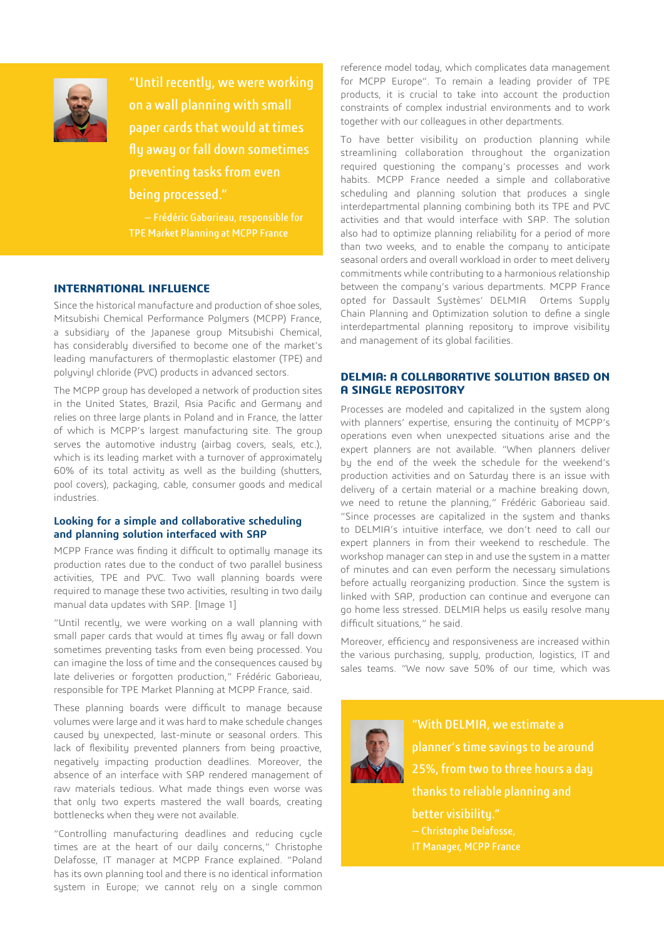

"Until recently, we were working on a wall planning with small paper cards that would at times fly away or fall down sometimes preventing tasks from even being processed."

— Frédéric Gaborieau, responsible for

## **INTERNATIONAL INFLUENCE**

Since the historical manufacture and production of shoe soles, Mitsubishi Chemical Performance Polymers (MCPP) France, a subsidiary of the Japanese group Mitsubishi Chemical, has considerably diversified to become one of the market's leading manufacturers of thermoplastic elastomer (TPE) and polyvinyl chloride (PVC) products in advanced sectors.

The MCPP group has developed a network of production sites in the United States, Brazil, Asia Pacific and Germany and relies on three large plants in Poland and in France, the latter of which is MCPP's largest manufacturing site. The group serves the automotive industry (airbag covers, seals, etc.), which is its leading market with a turnover of approximately 60% of its total activity as well as the building (shutters, pool covers), packaging, cable, consumer goods and medical industries.

## **Looking for a simple and collaborative scheduling and planning solution interfaced with SAP**

MCPP France was finding it difficult to optimally manage its production rates due to the conduct of two parallel business activities, TPE and PVC. Two wall planning boards were required to manage these two activities, resulting in two daily manual data updates with SAP. [Image 1]

"Until recently, we were working on a wall planning with small paper cards that would at times fly away or fall down sometimes preventing tasks from even being processed. You can imagine the loss of time and the consequences caused by late deliveries or forgotten production," Frédéric Gaborieau, responsible for TPE Market Planning at MCPP France, said.

These planning boards were difficult to manage because volumes were large and it was hard to make schedule changes caused by unexpected, last-minute or seasonal orders. This lack of flexibility prevented planners from being proactive, negatively impacting production deadlines. Moreover, the absence of an interface with SAP rendered management of raw materials tedious. What made things even worse was that only two experts mastered the wall boards, creating bottlenecks when they were not available.

"Controlling manufacturing deadlines and reducing cycle times are at the heart of our daily concerns," Christophe Delafosse, IT manager at MCPP France explained. "Poland has its own planning tool and there is no identical information system in Europe; we cannot rely on a single common reference model today, which complicates data management for MCPP Europe". To remain a leading provider of TPE products, it is crucial to take into account the production constraints of complex industrial environments and to work together with our colleagues in other departments.

To have better visibility on production planning while streamlining collaboration throughout the organization required questioning the company's processes and work habits. MCPP France needed a simple and collaborative scheduling and planning solution that produces a single interdepartmental planning combining both its TPE and PVC activities and that would interface with SAP. The solution also had to optimize planning reliability for a period of more than two weeks, and to enable the company to anticipate seasonal orders and overall workload in order to meet delivery commitments while contributing to a harmonious relationship between the company's various departments. MCPP France opted for Dassault Systèmes' DELMIA Ortems Supply Chain Planning and Optimization solution to define a single interdepartmental planning repository to improve visibility and management of its global facilities.

## **DELMIA: A COLLABORATIVE SOLUTION BASED ON A SINGLE REPOSITORY**

Processes are modeled and capitalized in the system along with planners' expertise, ensuring the continuity of MCPP's operations even when unexpected situations arise and the expert planners are not available. "When planners deliver by the end of the week the schedule for the weekend's production activities and on Saturday there is an issue with delivery of a certain material or a machine breaking down, we need to retune the planning," Frédéric Gaborieau said. "Since processes are capitalized in the system and thanks to DELMIA's intuitive interface, we don't need to call our expert planners in from their weekend to reschedule. The workshop manager can step in and use the system in a matter of minutes and can even perform the necessary simulations before actually reorganizing production. Since the system is linked with SAP, production can continue and everyone can go home less stressed. DELMIA helps us easily resolve many difficult situations," he said.

Moreover, efficiency and responsiveness are increased within the various purchasing, supply, production, logistics, IT and sales teams. "We now save 50% of our time, which was



planner's time savings to be around thanks to reliable planning and

better visibility." — Christophe Delafosse,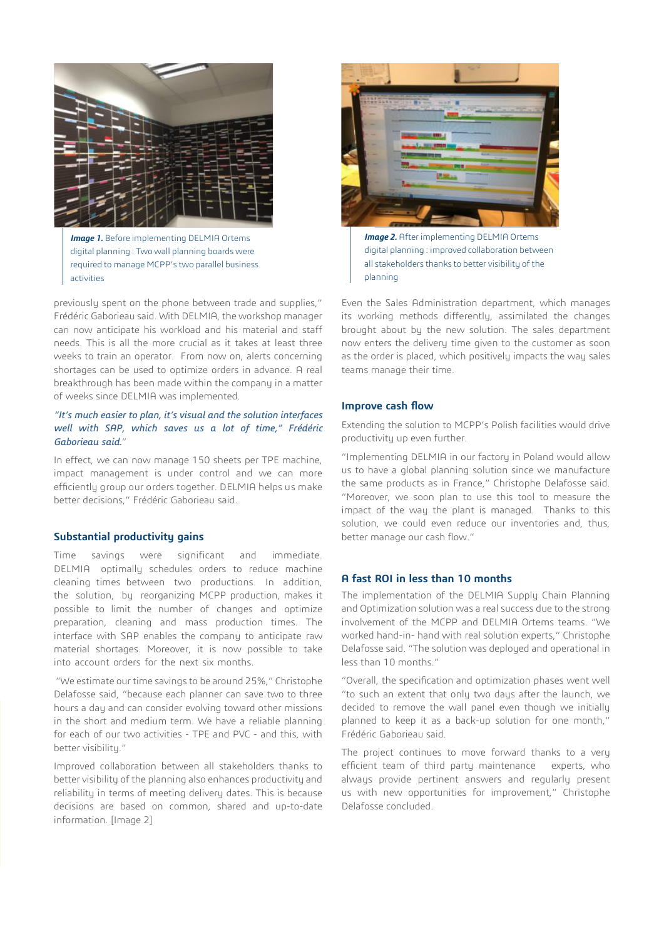

*Image 1.* Before implementing DELMIA Ortems digital planning : Two wall planning boards were required to manage MCPP's two parallel business activities

previously spent on the phone between trade and supplies," Frédéric Gaborieau said. With DELMIA, the workshop manager can now anticipate his workload and his material and staff needs. This is all the more crucial as it takes at least three weeks to train an operator. From now on, alerts concerning shortages can be used to optimize orders in advance. A real breakthrough has been made within the company in a matter of weeks since DELMIA was implemented.

#### *"It's much easier to plan, it's visual and the solution interfaces well with SAP, which saves us a lot of time," Frédéric Gaborieau said.*"

In effect, we can now manage 150 sheets per TPE machine, impact management is under control and we can more efficiently group our orders together. DELMIA helps us make better decisions," Frédéric Gaborieau said.

#### **Substantial productivity gains**

Time savings were significant and immediate. DELMIA optimally schedules orders to reduce machine cleaning times between two productions. In addition, the solution, by reorganizing MCPP production, makes it possible to limit the number of changes and optimize preparation, cleaning and mass production times. The interface with SAP enables the company to anticipate raw material shortages. Moreover, it is now possible to take into account orders for the next six months.

 "We estimate our time savings to be around 25%," Christophe Delafosse said, "because each planner can save two to three hours a day and can consider evolving toward other missions in the short and medium term. We have a reliable planning for each of our two activities - TPE and PVC - and this, with better visibility."

Improved collaboration between all stakeholders thanks to better visibility of the planning also enhances productivity and reliability in terms of meeting delivery dates. This is because decisions are based on common, shared and up-to-date information. [Image 2]



**Image 2.** After implementing DELMIA Ortems digital planning : improved collaboration between all stakeholders thanks to better visibility of the planning

Even the Sales Administration department, which manages its working methods differently, assimilated the changes brought about by the new solution. The sales department now enters the delivery time given to the customer as soon as the order is placed, which positively impacts the way sales teams manage their time.

#### **Improve cash flow**

Extending the solution to MCPP's Polish facilities would drive productivity up even further.

"Implementing DELMIA in our factory in Poland would allow us to have a global planning solution since we manufacture the same products as in France," Christophe Delafosse said. "Moreover, we soon plan to use this tool to measure the impact of the way the plant is managed. Thanks to this solution, we could even reduce our inventories and, thus, better manage our cash flow."

#### **A fast ROI in less than 10 months**

The implementation of the DELMIA Supply Chain Planning and Optimization solution was a real success due to the strong involvement of the MCPP and DELMIA Ortems teams. "We worked hand-in- hand with real solution experts," Christophe Delafosse said. "The solution was deployed and operational in less than 10 months."

"Overall, the specification and optimization phases went well "to such an extent that only two days after the launch, we decided to remove the wall panel even though we initially planned to keep it as a back-up solution for one month," Frédéric Gaborieau said.

The project continues to move forward thanks to a very efficient team of third party maintenance experts, who always provide pertinent answers and regularly present us with new opportunities for improvement," Christophe Delafosse concluded.